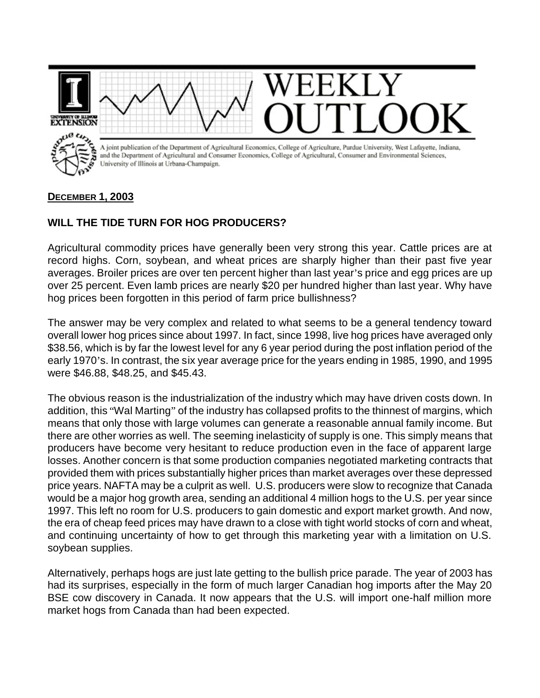

## **DECEMBER 1, 2003**

## **WILL THE TIDE TURN FOR HOG PRODUCERS?**

Agricultural commodity prices have generally been very strong this year. Cattle prices are at record highs. Corn, soybean, and wheat prices are sharply higher than their past five year averages. Broiler prices are over ten percent higher than last year's price and egg prices are up over 25 percent. Even lamb prices are nearly \$20 per hundred higher than last year. Why have hog prices been forgotten in this period of farm price bullishness?

The answer may be very complex and related to what seems to be a general tendency toward overall lower hog prices since about 1997. In fact, since 1998, live hog prices have averaged only \$38.56, which is by far the lowest level for any 6 year period during the post inflation period of the early 1970's. In contrast, the six year average price for the years ending in 1985, 1990, and 1995 were \$46.88, \$48.25, and \$45.43.

The obvious reason is the industrialization of the industry which may have driven costs down. In addition, this "Wal Marting" of the industry has collapsed profits to the thinnest of margins, which means that only those with large volumes can generate a reasonable annual family income. But there are other worries as well. The seeming inelasticity of supply is one. This simply means that producers have become very hesitant to reduce production even in the face of apparent large losses. Another concern is that some production companies negotiated marketing contracts that provided them with prices substantially higher prices than market averages over these depressed price years. NAFTA may be a culprit as well. U.S. producers were slow to recognize that Canada would be a major hog growth area, sending an additional 4 million hogs to the U.S. per year since 1997. This left no room for U.S. producers to gain domestic and export market growth. And now, the era of cheap feed prices may have drawn to a close with tight world stocks of corn and wheat, and continuing uncertainty of how to get through this marketing year with a limitation on U.S. soybean supplies.

Alternatively, perhaps hogs are just late getting to the bullish price parade. The year of 2003 has had its surprises, especially in the form of much larger Canadian hog imports after the May 20 BSE cow discovery in Canada. It now appears that the U.S. will import one-half million more market hogs from Canada than had been expected.